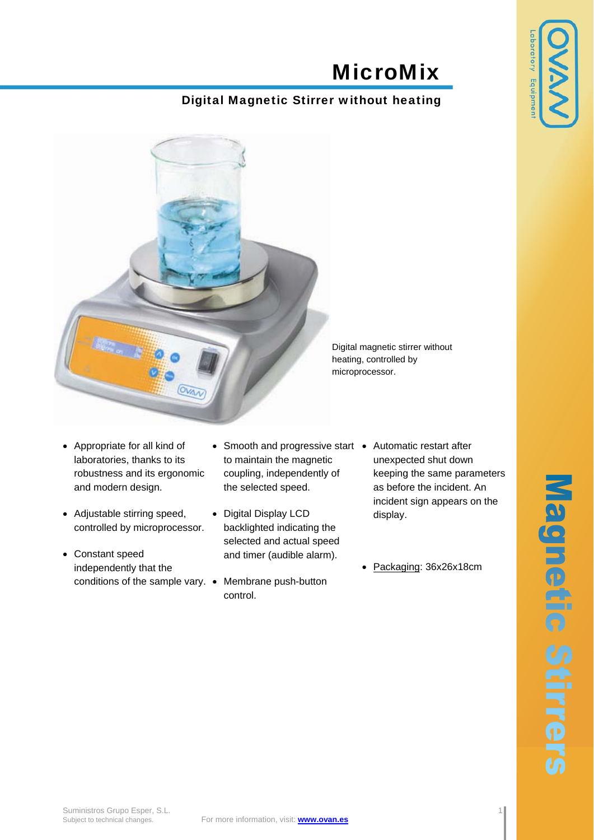## MicroMix

## Digital Magnetic Stirrer without heating



- Appropriate for all kind of laboratories, thanks to its robustness and its ergonomic and modern design.
- Adjustable stirring speed, controlled by microprocessor.
- Constant speed independently that the conditions of the sample vary. • Membrane push-button
- Smooth and progressive start Automatic restart after to maintain the magnetic coupling, independently of the selected speed.
- Digital Display LCD backlighted indicating the selected and actual speed and timer (audible alarm).
	- control.
- unexpected shut down keeping the same parameters as before the incident. An incident sign appears on the display.
- Packaging: 36x26x18cm

aboratory Equipme